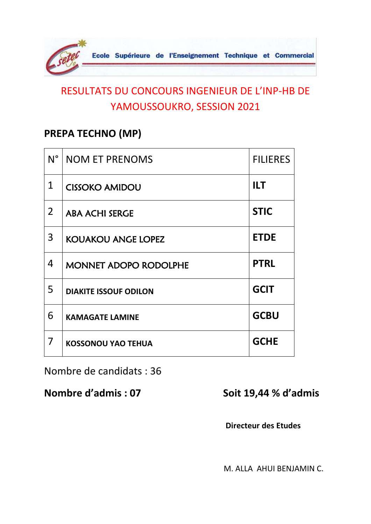

#### **PREPA TECHNO (MP)**

| $N^{\circ}$    | <b>NOM ET PRENOMS</b>        | <b>FILIERES</b> |
|----------------|------------------------------|-----------------|
| $\mathbf 1$    | <b>CISSOKO AMIDOU</b>        | <b>ILT</b>      |
| $\overline{2}$ | <b>ABA ACHI SERGE</b>        | <b>STIC</b>     |
| 3              | <b>KOUAKOU ANGE LOPEZ</b>    | <b>ETDE</b>     |
| 4              | <b>MONNET ADOPO RODOLPHE</b> | <b>PTRL</b>     |
| 5              | <b>DIAKITE ISSOUF ODILON</b> | <b>GCIT</b>     |
| 6              | <b>KAMAGATE LAMINE</b>       | <b>GCBU</b>     |
| 7              | <b>KOSSONOU YAO TEHUA</b>    | <b>GCHE</b>     |

Nombre de candidats : 36

**Nombre d'admis : 07 Soit 19,44 % d'admis** 

 **Directeur des Etudes**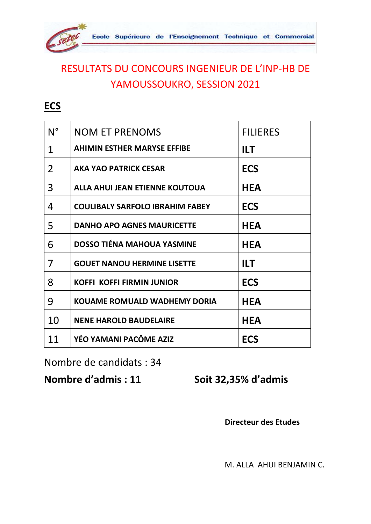

**ECS**

| $N^{\circ}$ | <b>NOM ET PRENOMS</b>                  | <b>FILIERES</b> |
|-------------|----------------------------------------|-----------------|
| 1           | <b>AHIMIN ESTHER MARYSE EFFIBE</b>     | <b>ILT</b>      |
| 2           | <b>AKA YAO PATRICK CESAR</b>           | <b>ECS</b>      |
| 3           | ALLA AHUI JEAN ETIENNE KOUTOUA         | <b>HEA</b>      |
| 4           | <b>COULIBALY SARFOLO IBRAHIM FABEY</b> | <b>ECS</b>      |
| 5           | <b>DANHO APO AGNES MAURICETTE</b>      | <b>HEA</b>      |
| 6           | <b>DOSSO TIÉNA MAHOUA YASMINE</b>      | <b>HEA</b>      |
| 7           | <b>GOUET NANOU HERMINE LISETTE</b>     | <b>ILT</b>      |
| 8           | <b>KOFFI KOFFI FIRMIN JUNIOR</b>       | <b>ECS</b>      |
| 9           | <b>KOUAME ROMUALD WADHEMY DORIA</b>    | <b>HEA</b>      |
| 10          | <b>NENE HAROLD BAUDELAIRE</b>          | <b>HEA</b>      |
| 11          | YÉO YAMANI PACÔME AZIZ                 | <b>ECS</b>      |

Nombre de candidats : 34

**Nombre d'admis : 11 Soit 32,35% d'admis**

 **Directeur des Etudes**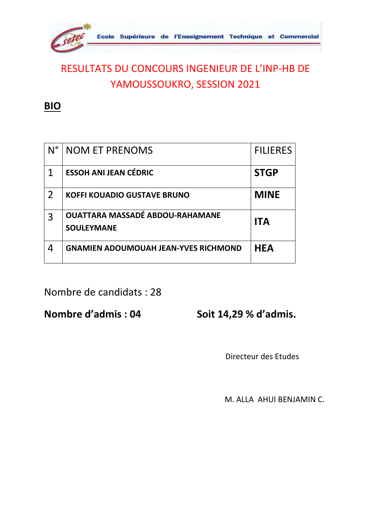

**BIO**

| $N^{\circ}$ | <b>NOM ET PRENOMS</b>                                       | <b>FILIERES</b> |
|-------------|-------------------------------------------------------------|-----------------|
|             | <b>ESSOH ANI JEAN CÉDRIC</b>                                | <b>STGP</b>     |
| 2           | <b>KOFFI KOUADIO GUSTAVE BRUNO</b>                          | <b>MINE</b>     |
| 3           | <b>OUATTARA MASSADÉ ABDOU-RAHAMANE</b><br><b>SOULEYMANE</b> | <b>ITA</b>      |
| 4           | <b>GNAMIEN ADOUMOUAH JEAN-YVES RICHMOND</b>                 | <b>HEA</b>      |

Nombre de candidats : 28

**Nombre d'admis : 04 Soit 14,29 % d'admis.**

Directeur des Etudes